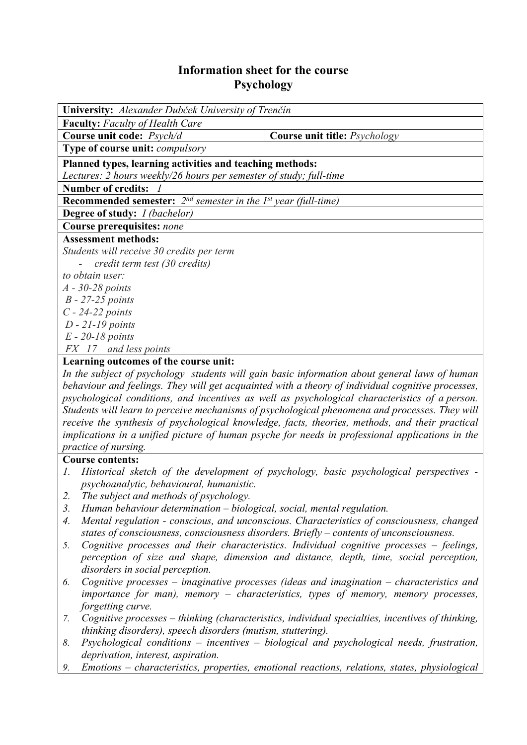## **Information sheet for the course Psychology**

| University: Alexander Dubček University of Trenčín                                     |                                             |
|----------------------------------------------------------------------------------------|---------------------------------------------|
| <b>Faculty:</b> Faculty of Health Care                                                 |                                             |
| Course unit code: Psych/d                                                              | <b>Course unit title:</b> <i>Psychology</i> |
| Type of course unit: <i>compulsory</i>                                                 |                                             |
| Planned types, learning activities and teaching methods:                               |                                             |
| Lectures: 2 hours weekly/26 hours per semester of study; full-time                     |                                             |
| <b>Number of credits:</b>                                                              |                                             |
| <b>Recommended semester:</b> $2^{nd}$ semester in the 1 <sup>st</sup> year (full-time) |                                             |
| <b>Degree of study:</b> <i>I (bachelor)</i>                                            |                                             |
| Course prerequisites: none                                                             |                                             |
| <b>Assessment methods:</b>                                                             |                                             |
| Students will receive 30 credits per term                                              |                                             |
| - credit term test (30 credits)                                                        |                                             |
| to obtain user:                                                                        |                                             |
| $A - 30-28$ points                                                                     |                                             |
| $B - 27 - 25$ points                                                                   |                                             |
| $C - 24 - 22$ points                                                                   |                                             |
| $D - 21 - 19$ points                                                                   |                                             |
| $E - 20-18$ points                                                                     |                                             |
| FX 17 and less points                                                                  |                                             |
| Learning outcomes of the course unit.                                                  |                                             |

## **Learning outcomes of the course unit:**

*In the subject of psychology students will gain basic information about general laws of human behaviour and feelings. They will get acquainted with a theory of individual cognitive processes, psychological conditions, and incentives as well as psychological characteristics of a person. Students will learn to perceive mechanisms of psychological phenomena and processes. They will receive the synthesis of psychological knowledge, facts, theories, methods, and their practical implications in a unified picture of human psyche for needs in professional applications in the practice of nursing.* 

## **Course contents:**

- *1. Historical sketch of the development of psychology, basic psychological perspectives psychoanalytic, behavioural, humanistic.*
- *2. The subject and methods of psychology.*
- *3. Human behaviour determination biological, social, mental regulation.*
- *4. Mental regulation conscious, and unconscious. Characteristics of consciousness, changed states of consciousness, consciousness disorders. Briefly – contents of unconsciousness.*
- *5. Cognitive processes and their characteristics. Individual cognitive processes feelings, perception of size and shape, dimension and distance, depth, time, social perception, disorders in social perception.*
- *6. Cognitive processes imaginative processes (ideas and imagination characteristics and importance for man), memory – characteristics, types of memory, memory processes, forgetting curve.*
- *7. Cognitive processes thinking (characteristics, individual specialties, incentives of thinking, thinking disorders), speech disorders (mutism, stuttering).*
- *8. Psychological conditions incentives biological and psychological needs, frustration, deprivation, interest, aspiration.*
- *9. Emotions characteristics, properties, emotional reactions, relations, states, physiological*